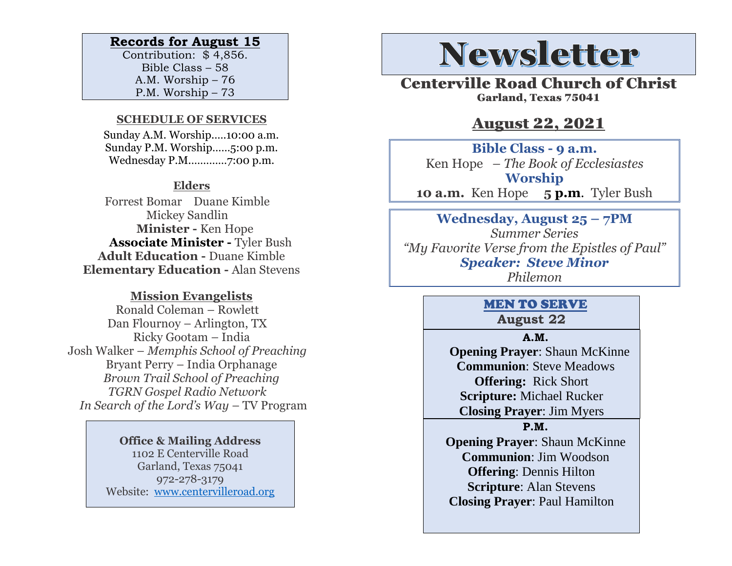#### **Records for August 15**

Contribution: \$ 4,856. Bible Class – 58 A.M. Worship – 76 P.M. Worship – 73

#### **SCHEDULE OF SERVICES**

 Sunday A.M. Worship.….10:00 a.m. Sunday P.M. Worship……5:00 p.m. Wednesday P.M.…………7:00 p.m.

#### **Elders**

Forrest Bomar Duane Kimble Mickey Sandlin  **Minister -** Ken Hope  **Associate Minister -** Tyler Bush **Adult Education -** Duane Kimble **Elementary Education -** Alan Stevens

### **Mission Evangelists**

Ronald Coleman – Rowlett Dan Flournoy – Arlington, TX Ricky Gootam – India Josh Walker – *Memphis School of Preaching* Bryant Perry – India Orphanage *Brown Trail School of Preaching TGRN Gospel Radio Network In Search of the Lord's Way – TV Program* 

> **Office & Mailing Address** 1102 E Centerville Road Garland, Texas 75041 972-278-3179 Website: [www.centervilleroad.org](https://d.docs.live.net/97e199c461b763eb/Newsletter/News%202020/August%202020/www.centervilleroad.org)

# **Newsletter**

Centerville Road Church of Christ Garland, Texas 75041

## August 22, 2021

**Bible Class - 9 a.m.** Ken Hope *– The Book of Ecclesiastes* **Worship 10 a.m.** Ken Hope **5 p.m**. Tyler Bush

**Wednesday, August 25 – 7PM** *Summer Series "My Favorite Verse from the Epistles of Paul" Speaker: Steve Minor Philemon*

# MEN TO SERVE

**August 22**

#### **A.M.**

 **Opening Prayer**: Shaun McKinne **Communion**: Steve Meadows **Offering:** Rick Short **Scripture:** Michael Rucker **Closing Prayer**: Jim Myers

#### **P.M.**

**Opening Prayer**: Shaun McKinne **Communion**: Jim Woodson **Offering**: Dennis Hilton **Scripture**: Alan Stevens **Closing Prayer**: Paul Hamilton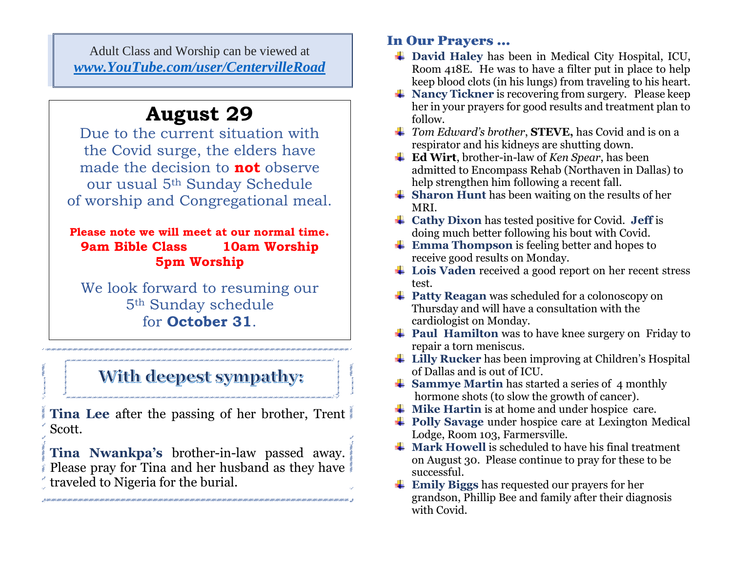Adult Class and Worship can be viewed at *[www.YouTube.com/user/CentervilleRoad](http://www.youtube.com/user/CentervilleRoad)*

# **August 29**

Due to the current situation with the Covid surge, the elders have made the decision to **not** observe our usual 5th Sunday Schedule of worship and Congregational meal.

### **Please note we will meet at our normal time. 9am Bible Class 10am Worship 5pm Worship**

We look forward to resuming our 5th Sunday schedule for **October 31**.

# With deepest sympathy:

**Tina Lee** after the passing of her brother, Trent Scott.

**Tina Nwankpa's** brother-in-law passed away. Please pray for Tina and her husband as they have traveled to Nigeria for the burial.

### In Our Prayers …

- **David Haley** has been in Medical City Hospital, ICU, Room 418E. He was to have a filter put in place to help keep blood clots (in his lungs) from traveling to his heart.
- $\blacktriangle$  **Nancy Tickner** is recovering from surgery. Please keep her in your prayers for good results and treatment plan to follow.
- *Tom Edward's brother*, **STEVE,** has Covid and is on a respirator and his kidneys are shutting down.
- **Ed Wirt**, brother-in-law of *Ken Spear*, has been admitted to Encompass Rehab (Northaven in Dallas) to help strengthen him following a recent fall.
- **↓ Sharon Hunt** has been waiting on the results of her MRI.
- **Cathy Dixon** has tested positive for Covid. **Jeff** is doing much better following his bout with Covid.
- **Emma Thompson** is feeling better and hopes to receive good results on Monday.
- **Lois Vaden** received a good report on her recent stress test.
- **Patty Reagan** was scheduled for a colonoscopy on Thursday and will have a consultation with the cardiologist on Monday.
- **Paul Hamilton** was to have knee surgery on Friday to repair a torn meniscus.
- $\frac{1}{\sqrt{2}}$  **Lilly Rucker** has been improving at Children's Hospital of Dallas and is out of ICU.
- **↓ Sammye Martin** has started a series of 4 monthly hormone shots (to slow the growth of cancer).
- $\frac{1}{\sqrt{1}}$  Mike Hartin is at home and under hospice care.
- **Polly Savage** under hospice care at Lexington Medical Lodge, Room 103, Farmersville.
- $\blacktriangle$  **Mark Howell** is scheduled to have his final treatment on August 30. Please continue to pray for these to be successful.
- **Emily Biggs** has requested our prayers for her grandson, Phillip Bee and family after their diagnosis with Covid.